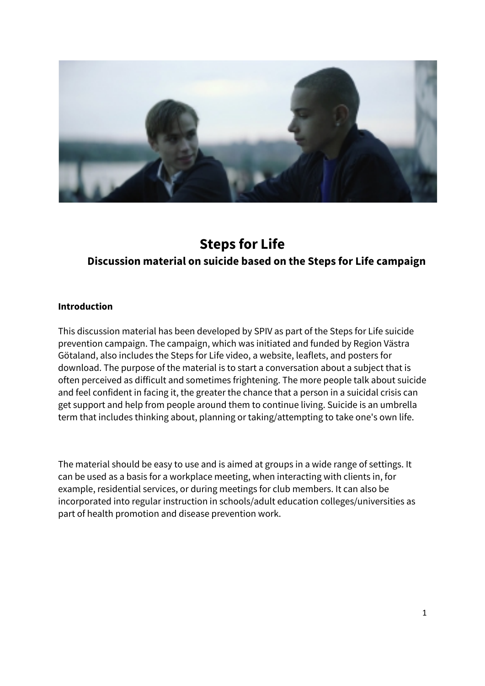

# **Steps for Life Discussion material on suicide based on the Steps for Life campaign**

#### **Introduction**

This discussion material has been developed by SPIV as part of the Steps for Life suicide prevention campaign. The campaign, which was initiated and funded by Region Västra Götaland, also includes the Steps for Life video, a website, leaflets, and posters for download. The purpose of the material is to start a conversation about a subject that is often perceived as difficult and sometimes frightening. The more people talk about suicide and feel confident in facing it, the greater the chance that a person in a suicidal crisis can get support and help from people around them to continue living. Suicide is an umbrella term that includes thinking about, planning or taking/attempting to take one's own life.

The material should be easy to use and is aimed at groups in a wide range of settings. It can be used as a basis for a workplace meeting, when interacting with clients in, for example, residential services, or during meetings for club members. It can also be incorporated into regular instruction in schools/adult education colleges/universities as part of health promotion and disease prevention work.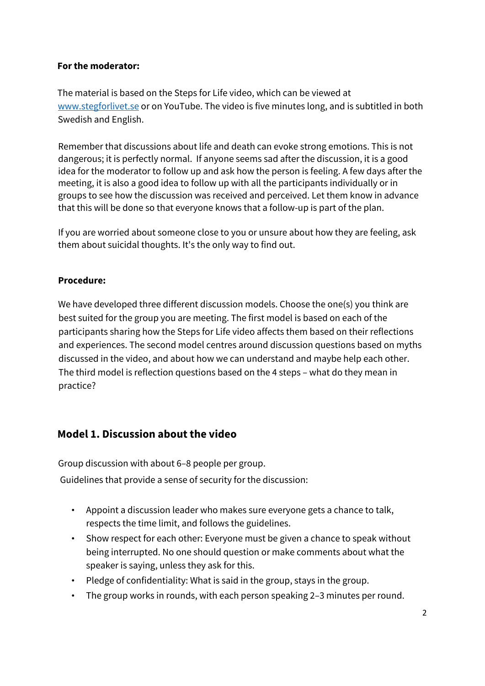#### **For the moderator:**

The material is based on the Steps for Life video, which can be viewed at www.stegforlivet.se or on YouTube. The video is five minutes long, and is subtitled in both Swedish and English.

Remember that discussions about life and death can evoke strong emotions. This is not dangerous; it is perfectly normal. If anyone seems sad after the discussion, it is a good idea for the moderator to follow up and ask how the person is feeling. A few days after the meeting, it is also a good idea to follow up with all the participants individually or in groups to see how the discussion was received and perceived. Let them know in advance that this will be done so that everyone knows that a follow-up is part of the plan.

If you are worried about someone close to you or unsure about how they are feeling, ask them about suicidal thoughts. It's the only way to find out.

#### **Procedure:**

We have developed three different discussion models. Choose the one(s) you think are best suited for the group you are meeting. The first model is based on each of the participants sharing how the Steps for Life video affects them based on their reflections and experiences. The second model centres around discussion questions based on myths discussed in the video, and about how we can understand and maybe help each other. The third model is reflection questions based on the 4 steps – what do they mean in practice?

# **Model 1. Discussion about the video**

Group discussion with about 6–8 people per group. Guidelines that provide a sense of security for the discussion:

- Appoint a discussion leader who makes sure everyone gets a chance to talk, respects the time limit, and follows the guidelines.
- Show respect for each other: Everyone must be given a chance to speak without being interrupted. No one should question or make comments about what the speaker is saying, unless they ask for this.
- Pledge of confidentiality: What is said in the group, stays in the group.
- The group works in rounds, with each person speaking 2–3 minutes per round.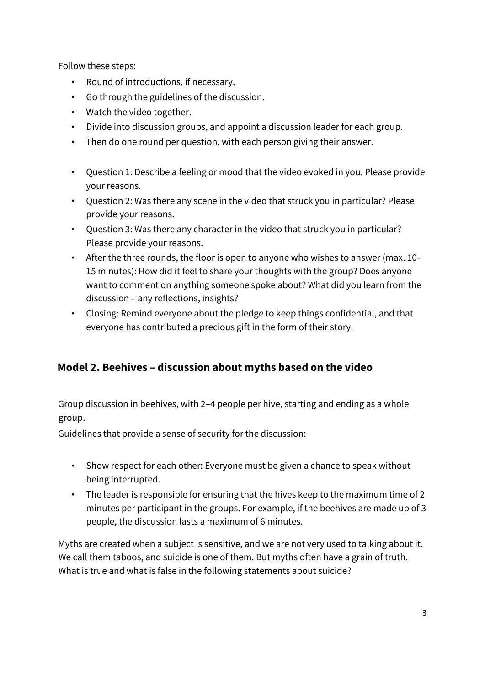Follow these steps:

- Round of introductions, if necessary.
- Go through the guidelines of the discussion.
- Watch the video together.
- Divide into discussion groups, and appoint a discussion leader for each group.
- Then do one round per question, with each person giving their answer.
- Question 1: Describe a feeling or mood that the video evoked in you. Please provide your reasons.
- Question 2: Was there any scene in the video that struck you in particular? Please provide your reasons.
- Question 3: Was there any character in the video that struck you in particular? Please provide your reasons.
- After the three rounds, the floor is open to anyone who wishes to answer (max. 10– 15 minutes): How did it feel to share your thoughts with the group? Does anyone want to comment on anything someone spoke about? What did you learn from the discussion – any reflections, insights?
- Closing: Remind everyone about the pledge to keep things confidential, and that everyone has contributed a precious gift in the form of their story.

# **Model 2. Beehives – discussion about myths based on the video**

Group discussion in beehives, with 2–4 people per hive, starting and ending as a whole group.

Guidelines that provide a sense of security for the discussion:

- Show respect for each other: Everyone must be given a chance to speak without being interrupted.
- The leader is responsible for ensuring that the hives keep to the maximum time of 2 minutes per participant in the groups. For example, if the beehives are made up of 3 people, the discussion lasts a maximum of 6 minutes.

Myths are created when a subject is sensitive, and we are not very used to talking about it. We call them taboos, and suicide is one of them. But myths often have a grain of truth. What is true and what is false in the following statements about suicide?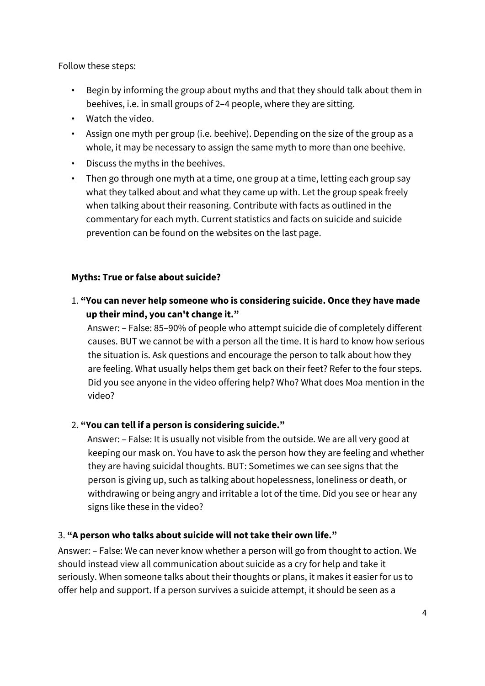Follow these steps:

- Begin by informing the group about myths and that they should talk about them in beehives, i.e. in small groups of 2–4 people, where they are sitting.
- Watch the video.
- Assign one myth per group (i.e. beehive). Depending on the size of the group as a whole, it may be necessary to assign the same myth to more than one beehive.
- Discuss the myths in the beehives.
- Then go through one myth at a time, one group at a time, letting each group say what they talked about and what they came up with. Let the group speak freely when talking about their reasoning. Contribute with facts as outlined in the commentary for each myth. Current statistics and facts on suicide and suicide prevention can be found on the websites on the last page.

### **Myths: True or false about suicide?**

1. **"You can never help someone who is considering suicide. Once they have made up their mind, you can't change it."** 

Answer: – False: 85–90% of people who attempt suicide die of completely different causes. BUT we cannot be with a person all the time. It is hard to know how serious the situation is. Ask questions and encourage the person to talk about how they are feeling. What usually helps them get back on their feet? Refer to the four steps. Did you see anyone in the video offering help? Who? What does Moa mention in the video?

# 2. **"You can tell if a person is considering suicide."**

Answer: – False: It is usually not visible from the outside. We are all very good at keeping our mask on. You have to ask the person how they are feeling and whether they are having suicidal thoughts. BUT: Sometimes we can see signs that the person is giving up, such as talking about hopelessness, loneliness or death, or withdrawing or being angry and irritable a lot of the time. Did you see or hear any signs like these in the video?

#### 3. **"A person who talks about suicide will not take their own life."**

Answer: – False: We can never know whether a person will go from thought to action. We should instead view all communication about suicide as a cry for help and take it seriously. When someone talks about their thoughts or plans, it makes it easier for us to offer help and support. If a person survives a suicide attempt, it should be seen as a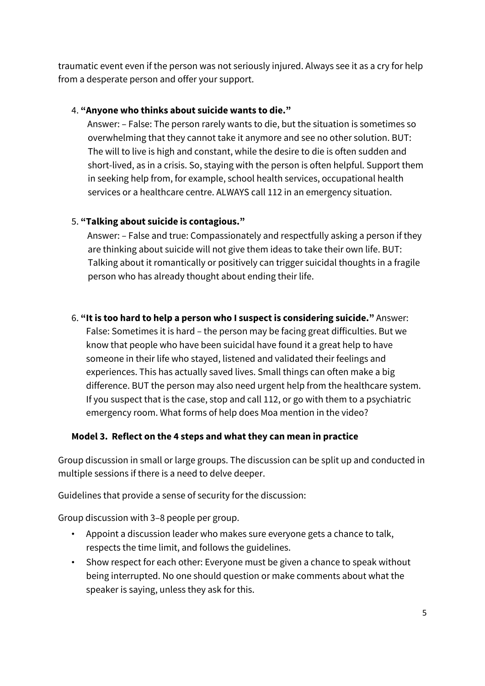traumatic event even if the person was not seriously injured. Always see it as a cry for help from a desperate person and offer your support.

#### 4. **"Anyone who thinks about suicide wants to die."**

Answer: – False: The person rarely wants to die, but the situation is sometimes so overwhelming that they cannot take it anymore and see no other solution. BUT: The will to live is high and constant, while the desire to die is often sudden and short-lived, as in a crisis. So, staying with the person is often helpful. Support them in seeking help from, for example, school health services, occupational health services or a healthcare centre. ALWAYS call 112 in an emergency situation.

#### 5. **"Talking about suicide is contagious."**

Answer: – False and true: Compassionately and respectfully asking a person if they are thinking about suicide will not give them ideas to take their own life. BUT: Talking about it romantically or positively can trigger suicidal thoughts in a fragile person who has already thought about ending their life.

#### 6. **"It is too hard to help a person who I suspect is considering suicide."** Answer:

False: Sometimes it is hard – the person may be facing great difficulties. But we know that people who have been suicidal have found it a great help to have someone in their life who stayed, listened and validated their feelings and experiences. This has actually saved lives. Small things can often make a big difference. BUT the person may also need urgent help from the healthcare system. If you suspect that is the case, stop and call 112, or go with them to a psychiatric emergency room. What forms of help does Moa mention in the video?

#### **Model 3. Reflect on the 4 steps and what they can mean in practice**

Group discussion in small or large groups. The discussion can be split up and conducted in multiple sessions if there is a need to delve deeper.

Guidelines that provide a sense of security for the discussion:

Group discussion with 3–8 people per group.

- Appoint a discussion leader who makes sure everyone gets a chance to talk, respects the time limit, and follows the guidelines.
- Show respect for each other: Everyone must be given a chance to speak without being interrupted. No one should question or make comments about what the speaker is saying, unless they ask for this.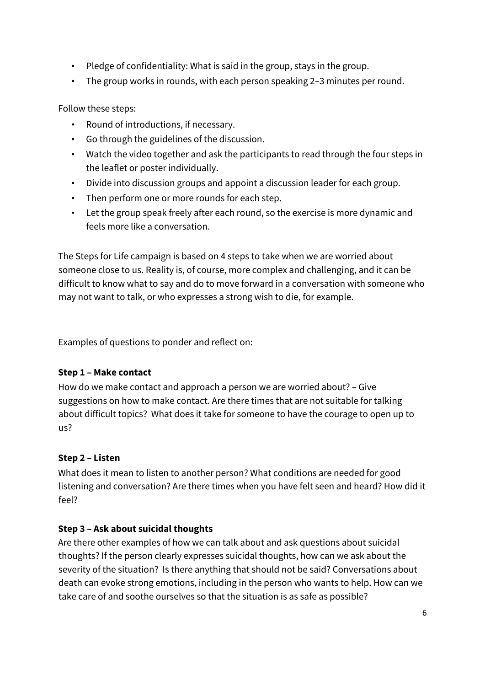- Pledge of confidentiality: What is said in the group, stays in the group.
- The group works in rounds, with each person speaking 2–3 minutes per round.

Follow these steps:

- Round of introductions, if necessary.
- Go through the guidelines of the discussion.
- Watch the video together and ask the participants to read through the four steps in the leaflet or poster individually.
- Divide into discussion groups and appoint a discussion leader for each group.
- Then perform one or more rounds for each step.
- Let the group speak freely after each round, so the exercise is more dynamic and feels more like a conversation.

The Steps for Life campaign is based on 4 steps to take when we are worried about someone close to us. Reality is, of course, more complex and challenging, and it can be difficult to know what to say and do to move forward in a conversation with someone who may not want to talk, or who expresses a strong wish to die, for example.

Examples of questions to ponder and reflect on:

#### **Step 1 – Make contact**

How do we make contact and approach a person we are worried about? – Give suggestions on how to make contact. Are there times that are not suitable for talking about difficult topics? What does it take for someone to have the courage to open up to us?

#### **Step 2 – Listen**

What does it mean to listen to another person? What conditions are needed for good listening and conversation? Are there times when you have felt seen and heard? How did it feel?

#### **Step 3 – Ask about suicidal thoughts**

Are there other examples of how we can talk about and ask questions about suicidal thoughts? If the person clearly expresses suicidal thoughts, how can we ask about the severity of the situation? Is there anything that should not be said? Conversations about death can evoke strong emotions, including in the person who wants to help. How can we take care of and soothe ourselves so that the situation is as safe as possible?